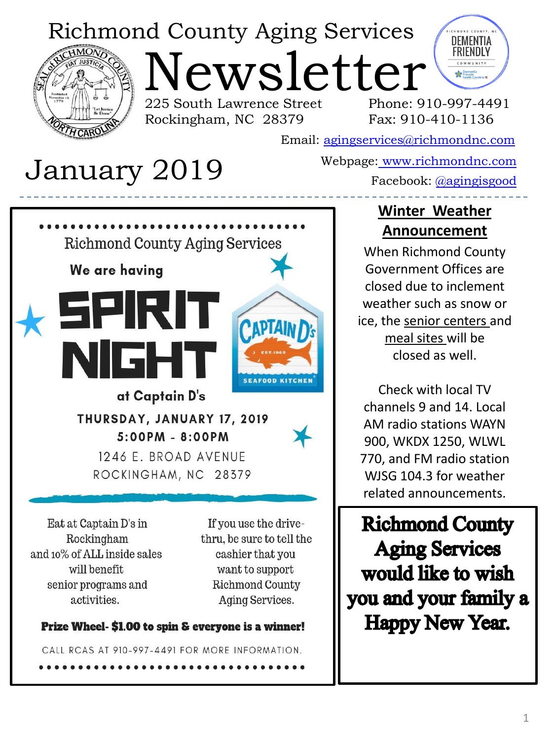# Richmond County Aging Services

Rockingham, NC 28379



Newsletter 225 South Lawrence Street



Phone: 910-997-4491 Fax: 910-410-1136

Email: [agingservices@richmondnc.com](mailto:agingservices@richmondnc.com)

# Webpage: [www.richmondnc.com](http://www.richmondnc.com/) January 2019 Facebook: [@agingisgood](https://www.facebook.com/agingisgood/)

# **Richmond County Aging Services** We are having SEIRIT **PAPTAIN** IGH **SEAFOOD KITCHEN** at Captain D's THURSDAY, JANUARY 17, 2019  $5:00PM - 8:00PM$ 1246 E. BROAD AVENUE ROCKINGHAM, NC 28379

Eat at Captain D's in Rockingham and 10% of ALL inside sales will benefit senior programs and activities.

If you use the drivethru, be sure to tell the cashier that you want to support **Richmond County** Aging Services.

### Prize Wheel- \$1.00 to spin & everyone is a winner!

CALL RCAS AT 910-997-4491 FOR MORE INFORMATION.

### **Winter Weather Announcement**

When Richmond County Government Offices are closed due to inclement weather such as snow or ice, the senior centers and meal sites will be closed as well.

Check with local TV channels 9 and 14. Local AM radio stations WAYN 900, WKDX 1250, WLWL 770, and FM radio station WJSG 104.3 for weather related announcements.

**Richmond County Aging Services** would like to wish you and your family a Happy New Year.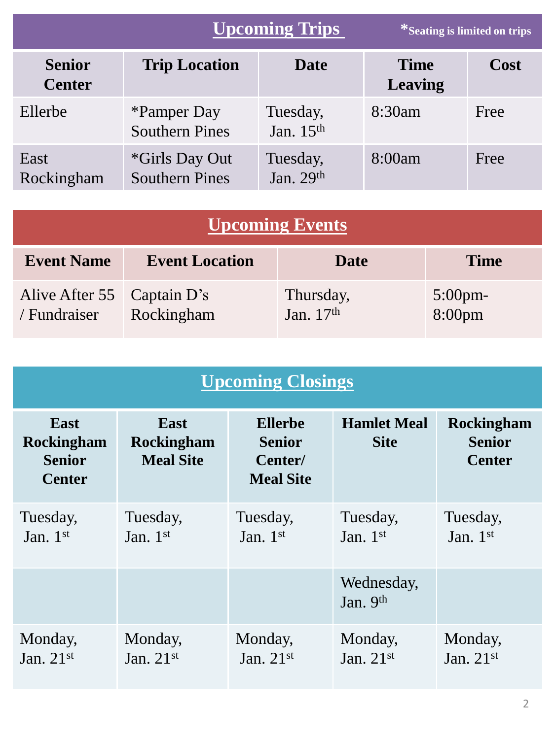|                                | <b>Upcoming Trips</b>                                 |                         | *Seating is limited on trips  |      |
|--------------------------------|-------------------------------------------------------|-------------------------|-------------------------------|------|
| <b>Senior</b><br><b>Center</b> | <b>Trip Location</b>                                  | <b>Date</b>             | <b>Time</b><br><b>Leaving</b> | Cost |
| Ellerbe                        | <i><b>*Pamper Day</b></i><br><b>Southern Pines</b>    | Tuesday,<br>Jan. $15th$ | 8:30am                        | Free |
| East<br>Rockingham             | <i><b>*Girls Day Out</b></i><br><b>Southern Pines</b> | Tuesday,<br>Jan. $29th$ | 8:00am                        | Free |

| <b>Upcoming Events</b>                     |                       |                          |                         |  |
|--------------------------------------------|-----------------------|--------------------------|-------------------------|--|
| <b>Event Name</b>                          | <b>Event Location</b> | <b>Date</b>              | <b>Time</b>             |  |
| Alive After 55 Captain D's<br>/ Fundraiser | Rockingham            | Thursday,<br>Jan. $17th$ | $5:00$ pm-<br>$8:00$ pm |  |

| <b>Upcoming Closings</b>                                    |                                                      |                                                                |                                   |                                              |  |
|-------------------------------------------------------------|------------------------------------------------------|----------------------------------------------------------------|-----------------------------------|----------------------------------------------|--|
| <b>East</b><br>Rockingham<br><b>Senior</b><br><b>Center</b> | <b>East</b><br><b>Rockingham</b><br><b>Meal Site</b> | <b>Ellerbe</b><br><b>Senior</b><br>Center/<br><b>Meal Site</b> | <b>Hamlet Meal</b><br><b>Site</b> | Rockingham<br><b>Senior</b><br><b>Center</b> |  |
| Tuesday,<br>Jan. $1st$                                      | Tuesday,<br>Jan. $1st$                               | Tuesday,<br>Jan. $1st$                                         | Tuesday,<br>Jan. $1st$            | Tuesday,<br>Jan. $1st$                       |  |
|                                                             |                                                      |                                                                | Wednesday,<br>Jan. $9th$          |                                              |  |
| Monday,<br>Jan. $21st$                                      | Monday,<br>Jan. $21st$                               | Monday,<br>Jan. $21st$                                         | Monday,<br>Jan. $21st$            | Monday,<br>Jan. $21st$                       |  |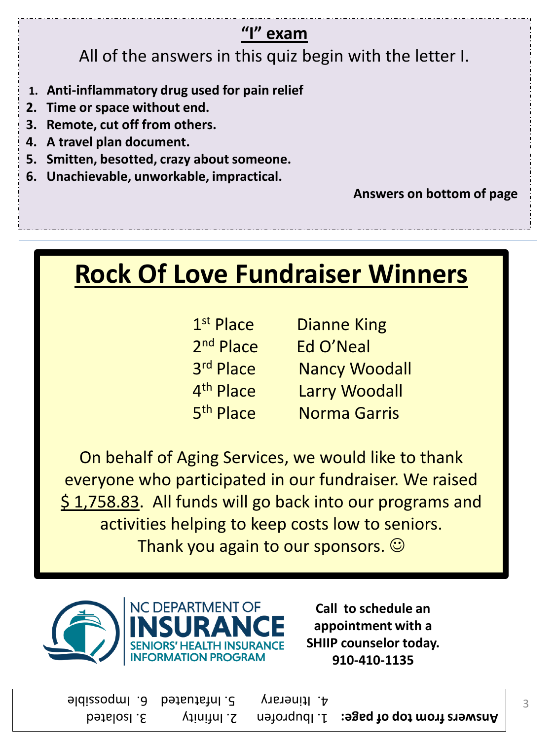## **"I" exam**

All of the answers in this quiz begin with the letter I.

- **1. Anti-inflammatory drug used for pain relief**
- **2. Time or space without end.**
- **3. Remote, cut off from others.**
- **4. A travel plan document.**
- **5. Smitten, besotted, crazy about someone.**
- **6. Unachievable, unworkable, impractical.**

 **Answers on bottom of page**

# **Rock Of Love Fundraiser Winners**

| 1 <sup>st</sup> Place | <b>Dianne King</b>   |
|-----------------------|----------------------|
| 2 <sup>nd</sup> Place | Ed O'Neal            |
| 3rd Place             | <b>Nancy Woodall</b> |
| 4 <sup>th</sup> Place | <b>Larry Woodall</b> |
| 5 <sup>th</sup> Place | <b>Norma Garris</b>  |

On behalf of Aging Services, we would like to thank everyone who participated in our fundraiser. We raised \$ 1,758.83. All funds will go back into our programs and activities helping to keep costs low to seniors. Thank you again to our sponsors.  $\odot$ 



**Call to schedule an appointment with a SHIIP counselor today. 910-410-1135**

**1. In 1. Is reach to be set beson infinity 3. Isolated** Analysis **Analysis Analysis Analysis Analysis Analysis** 4. Itinerary 5. Infatuated 6. Impossible